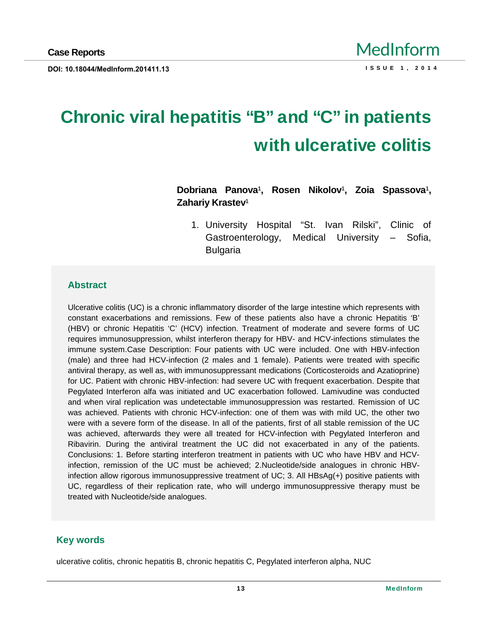# Chronic viral hepatitis €B• and €C• in patients with ulcerative colitis

Dobriana Panova € Rosen Nikolov € Zoia Spassova € Zahariy Krastev €

1. University Hospital •St. Ivan Rilski,, Clinic of Gastroenterology, Medical University f Sofia, Bulgaria

#### Abstract

Ulcerative colitis (UC) is a chronic inflammatory disorder of the large intestine which represents with constant exacerbations and remissions. Few of these patients also have a chronic Hepatitis "B... (HBV) or chronic Hepatitis "C. (HCV) infection. Treatment of moderate and severe forms of UC requires immunosuppression, whilst interferon therapy for HBV- and HCV-infections stimulates the immune system.Case Description: Four patients with UC were included. One with HBV-infection (male) and three had HCV-infection (2 males and 1 female). Patients were treated with specific antiviral therapy, as wellas, with immunosuppressant medications (Corticosteroids and Azatioprine) for UC. Patient with chronic HBV-infection: had severe UC with frequent exacerbation. Despite that Pegylated Interferon alfa was initiated and UC exacerbation followed. Lamivudine was conducted and when viral replication was undetectable immunosuppression was restarted. Remission of UC was achieved. Patients with chronic HCV-infection: one of them was with mild UC, the other two were with a severe form of the disease. In all of the patients, first of all stable remission of the UC was achieved, afterwards they were all treated for HCV-infection with Pegylated Interferon and Ribavirin. During the antiviral treatment the UC did not exacerbated in any of the patients. Conclusions: 1. Before starting interferon treatment in patients with UC who have HBV and HCVinfection, remission of the UC must be achieved; 2.Nucleotide/side analogues in chronic HBVinfection allow rigorous immunosuppressive treatment of UC; 3. All HBsAg(+) positive patients with UC, regardless of their replication rate, who will undergo immunosuppressive therapy must be treated with Nucleotide/side analogues.

#### Key words

ulcerative colitis, chronic hepatitis B, chronic hepatitis C, Pegylated interferon alpha, NUC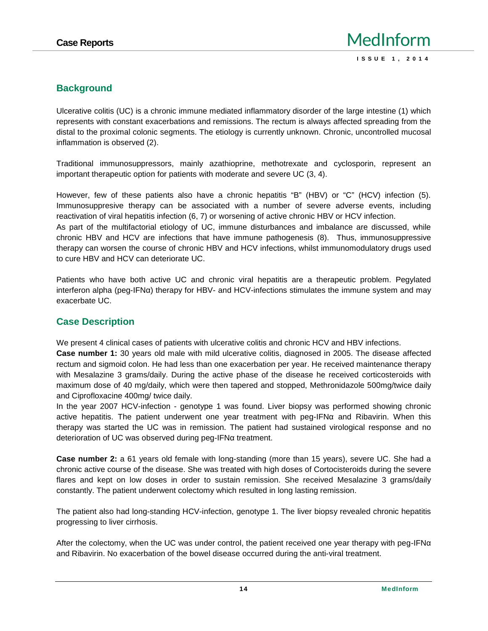# **Background**

Ulcerative colitis (UC) is a chronic immune mediated inflammatory disorder of the large intestine (1) which represents with constant exacerbations and remissions. The rectum is always affected spreading from the distal to the proximal colonic segments. The etiology is currently unknown. Chronic, uncontrolled mucosal inflammation is observed (2).

Traditional immunosuppressors, mainly azathioprine, methotrexate and cyclosporin, represent an important therapeutic option for patients with moderate and severe UC (3, 4).

However, few of these patients also have a chronic hepatitis "B" (HBV) or "C" (HCV) infection (5). Immunosuppresive therapy can be associated with a number of severe adverse events, including reactivation of viral hepatitis infection (6, 7) or worsening of active chronic HBV or HCV infection.

As part of the multifactorial etiology of UC, immune disturbances and imbalance are discussed, while chronic HBV and HCV are infections that have immune pathogenesis (8). Thus, immunosuppressive therapy can worsen the course of chronic HBV and HCV infections, whilst immunomodulatory drugs used to cure HBV and HCV can deteriorate UC.

Patients who have both active UC and chronic viral hepatitis are a therapeutic problem. Pegylated interferon alpha (peg-IFN) therapy for HBV- and HCV-infections stimulates the immune system and may exacerbate UC.

# **Case Description**

We present 4 clinical cases of patients with ulcerative colitis and chronic HCV and HBV infections.

**Case number 1:** 30 years old male with mild ulcerative colitis, diagnosed in 2005. The disease affected rectum and sigmoid colon. He had less than one exacerbation per year. He received maintenance therapy with Mesalazine 3 grams/daily. During the active phase of the disease he received corticosteroids with maximum dose of 40 mg/daily, which were then tapered and stopped, Methronidazole 500mg/twice daily and Ciprofloxacine 400mg/ twice daily.

In the year 2007 HCV-infection - genotype 1 was found. Liver biopsy was performed showing chronic active hepatitis. The patient underwent one year treatment with peg-IFN and Ribavirin. When this therapy was started the UC was in remission. The patient had sustained virological response and no deterioration of UC was observed during peg-IFN treatment.

**Case number 2:** a 61 years old female with long-standing (more than 15 years), severe UC. She had a chronic active course of the disease. She was treated with high doses of Cortocisteroids during the severe flares and kept on low doses in order to sustain remission. She received Mesalazine 3 grams/daily constantly. The patient underwent colectomy which resulted in long lasting remission.

The patient also had long-standing HCV-infection, genotype 1. The liver biopsy revealed chronic hepatitis progressing to liver cirrhosis.

After the colectomy, when the UC was under control, the patient received one year therapy with peg-IFN and Ribavirin. No exacerbation of the bowel disease occurred during the anti-viral treatment.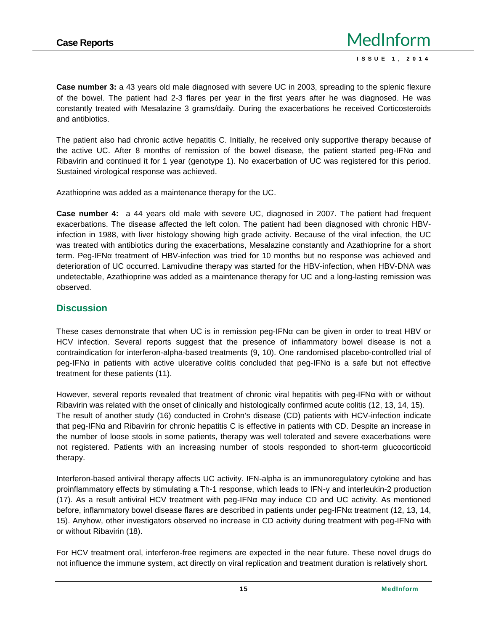**Case number 3:** a 43 years old male diagnosed with severe UC in 2003, spreading to the splenic flexure of the bowel. The patient had 2-3 flares per year in the first years after he was diagnosed. He was constantly treated with Mesalazine 3 grams/daily. During the exacerbations he received Corticosteroids and antibiotics.

The patient also had chronic active hepatitis C. Initially, he received only supportive therapy because of the active UC. After 8 months of remission of the bowel disease, the patient started peg-IFN and Ribavirin and continued it for 1 year (genotype 1). No exacerbation of UC was registered for this period. Sustained virological response was achieved.

Azathioprine was added as a maintenance therapy for the UC.

**Case number 4:** a 44 years old male with severe UC, diagnosed in 2007. The patient had frequent exacerbations. The disease affected the left colon. The patient had been diagnosed with chronic HBVinfection in 1988, with liver histology showing high grade activity. Because of the viral infection, the UC was treated with antibiotics during the exacerbations, Mesalazine constantly and Azathioprine for a short term. Peg-IFN treatment of HBV-infection was tried for 10 months but no response was achieved and deterioration of UC occurred. Lamivudine therapy was started for the HBV-infection, when HBV-DNA was undetectable, Azathioprine was added as a maintenance therapy for UC and a long-lasting remission was observed.

# **Discussion**

These cases demonstrate that when UC is in remission peg-IFN can be given in order to treat HBV or HCV infection. Several reports suggest that the presence of inflammatory bowel disease is not a contraindication for interferon-alpha-based treatments (9, 10). One randomised placebo-controlled trial of peg-IFN in patients with active ulcerative colitis concluded that peg-IFN is a safe but not effective treatment for these patients (11).

However, several reports revealed that treatment of chronic viral hepatitis with peg-IFN with or without Ribavirin was related with the onset of clinically and histologically confirmed acute colitis (12, 13, 14, 15). The result of another study (16) conducted in Crohn's disease (CD) patients with HCV-infection indicate that peg-IFN and Ribavirin for chronic hepatitis C is effective in patients with CD. Despite an increase in the number of loose stools in some patients, therapy was well tolerated and severe exacerbations were not registered. Patients with an increasing number of stools responded to short-term glucocorticoid therapy.

Interferon-based antiviral therapy affects UC activity. IFN-alpha is an immunoregulatory cytokine and has proinflammatory effects by stimulating a Th-1 response, which leads to IFN- and interleukin-2 production (17). As a result antiviral HCV treatment with peg-IFN may induce CD and UC activity. As mentioned before, inflammatory bowel disease flares are described in patients under peg-IFN treatment (12, 13, 14, 15). Anyhow, other investigators observed no increase in CD activity during treatment with peg-IFN with or without Ribavirin (18).

For HCV treatment oral, interferon-free regimens are expected in the near future. These novel drugs do not influence the immune system, act directly on viral replication and treatment duration is relatively short.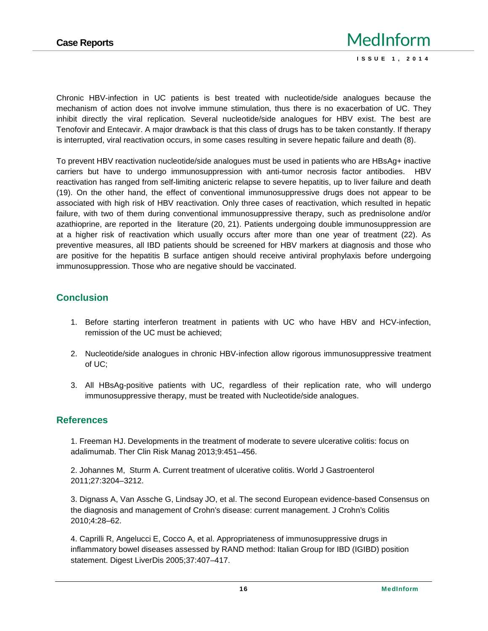Chronic HBV-infection in UC patients is best treated with nucleotide/side analogues because the mechanism of action does not involve immune stimulation, thus there is no exacerbation of UC. They inhibit directly the viral replication. Several nucleotide/side analogues for HBV exist. The best are Tenofovir and Entecavir. A major drawback is that this class of drugs has to be taken constantly. If therapy is interrupted, viral reactivation occurs, in some cases resulting in severe hepatic failure and death (8).

To prevent HBV reactivation nucleotide/side analogues must be used in patients who are HBsAg+ inactive carriers but have to undergo immunosuppression with anti-tumor necrosis factor antibodies. HBV reactivation has ranged from self-limiting anicteric relapse to severe hepatitis, up to liver failure and death (19). On the other hand, the effect of conventional immunosuppressive drugs does not appear to be associated with high risk of HBV reactivation. Only three cases of reactivation, which resulted in hepatic failure, with two of them during conventional immunosuppressive therapy, such as prednisolone and/or azathioprine, are reported in the literature (20, 21). Patients undergoing double immunosuppression are at a higher risk of reactivation which usually occurs after more than one year of treatment (22). As preventive measures, all IBD patients should be screened for HBV markers at diagnosis and those who are positive for the hepatitis B surface antigen should receive antiviral prophylaxis before undergoing immunosuppression. Those who are negative should be vaccinated.

## **Conclusion**

- 1. Before starting interferon treatment in patients with UC who have HBV and HCV-infection, remission of the UC must be achieved;
- 2. Nucleotide/side analogues in chronic HBV-infection allow rigorous immunosuppressive treatment of UC;
- 3. All HBsAg-positive patients with UC, regardless of their replication rate, who will undergo immunosuppressive therapy, must be treated with Nucleotide/side analogues.

### **References**

1. Freeman HJ. Developments in the treatment of moderate to severe ulcerative colitis: focus on adalimumab. Ther Clin Risk Manag 2013;9:451–456.

2. Johannes M, Sturm A. Current treatment of ulcerative colitis. World J Gastroenterol 2011;27:3204–3212.

3. Dignass A, Van Assche G, Lindsay JO, et al. The second European evidence-based Consensus on the diagnosis and management of Crohn's disease: current management. J Crohn's Colitis 2010;4:28–62.

4. Caprilli R, Angelucci E, Cocco A, et al. Appropriateness of immunosuppressive drugs in inflammatory bowel diseases assessed by RAND method: Italian Group for IBD (IGIBD) position statement. Digest LiverDis 2005;37:407–417.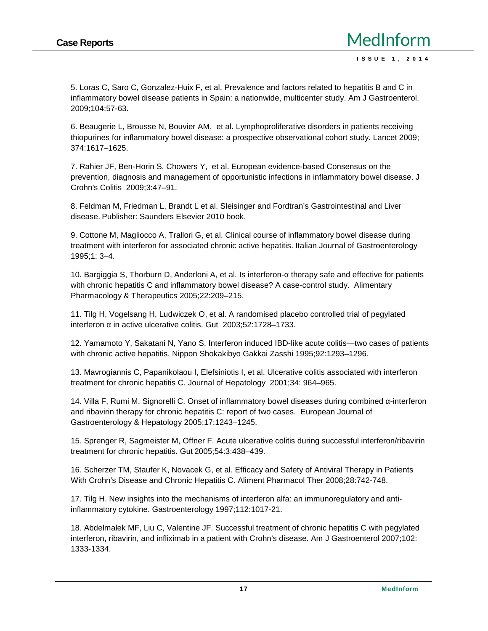5. Loras C, Saro C, Gonzalez-Huix F, et al. Prevalence and factors related to hepatitis B and C in inflammatory bowel disease patients in Spain: a nationwide, multicenter study. Am J Gastroenterol. 2009;104:57-63.

6. Beaugerie L, Brousse N, Bouvier AM, et al. Lymphoproliferative disorders in patients receiving thiopurines for inflammatory bowel disease: a prospective observational cohort study. Lancet 2009; 374:1617–1625.

7. Rahier JF, Ben-Horin S, Chowers Y, et al. European evidence-based Consensus on the prevention, diagnosis and management of opportunistic infections in inflammatory bowel disease. J Crohn's Colitis 2009;3:47–91.

8. Feldman M, Friedman L, Brandt L et al. Sleisinger and Fordtran's Gastrointestinal and Liver disease. Publisher: Saunders Elsevier 2010 book.

9. Cottone M, Magliocco A, Trallori G, et al. Clinical course of inflammatory bowel disease during treatment with interferon for associated chronic active hepatitis. Italian Journal of Gastroenterology 1995;1: 3–4.

10. Bargiggia S, Thorburn D, Anderloni A, et al. Is interferon- therapy safe and effective for patients with chronic hepatitis C and inflammatory bowel disease? A case-control study. Alimentary Pharmacology & Therapeutics 2005;22:209–215.

11. Tilg H, Vogelsang H, Ludwiczek O, et al. A randomised placebo controlled trial of pegylated interferon in active ulcerative colitis. Gut 2003;52:1728-1733.

12. Yamamoto Y, Sakatani N, Yano S. Interferon induced IBD-like acute colitis—two cases of patients with chronic active hepatitis. Nippon Shokakibyo Gakkai Zasshi 1995;92:1293–1296.

13. Mavrogiannis C, Papanikolaou I, Elefsiniotis I, et al. Ulcerative colitis associated with interferon treatment for chronic hepatitis C. Journal of Hepatology 2001;34: 964–965.

14. Villa F, Rumi M, Signorelli C. Onset of inflammatory bowel diseases during combined -interferon and ribavirin therapy for chronic hepatitis C: report of two cases. European Journal of Gastroenterology & Hepatology 2005;17:1243–1245.

15. Sprenger R, Sagmeister M, Offner F. Acute ulcerative colitis during successful interferon/ribavirin treatment for chronic hepatitis. Gut 2005;54:3:438–439.

16. Scherzer TM, Staufer K, Novacek G, et al. Efficacy and Safety of Antiviral Therapy in Patients With Crohn's Disease and Chronic Hepatitis C. Aliment Pharmacol Ther 2008;28:742-748.

17. Tilg H. New insights into the mechanisms of interferon alfa: an immunoregulatory and antiinflammatory cytokine. Gastroenterology 1997;112:1017-21.

18. Abdelmalek MF, Liu C, Valentine JF. Successful treatment of chronic hepatitis C with pegylated interferon, ribavirin, and infliximab in a patient with Crohn's disease. Am J Gastroenterol 2007;102: 1333-1334.